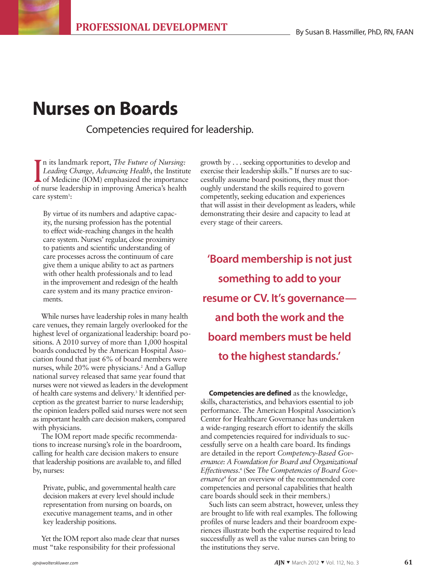# **Nurses on Boards**

Competencies required for leadership.

I has landmark teport, *The Tuture of Nursing*.<br>Leading Change, Advancing Health, the Institute of Medicine (IOM) emphasized the importance of nurse leadership in improving America's health n its landmark report, *The Future of Nursing: Leading Change, Advancing Health*, the Institute of Medicine (IOM) emphasized the importance care system<sup>1</sup>:

By virtue of its numbers and adaptive capacity, the nursing profession has the potential to effect wide-reaching changes in the health care system. Nurses' regular, close proximity to patients and scientific understanding of care processes across the continuum of care give them a unique ability to act as partners with other health professionals and to lead in the improvement and redesign of the health care system and its many practice environments.

While nurses have leadership roles in many health care venues, they remain largely overlooked for the highest level of organizational leadership: board positions. A 2010 survey of more than 1,000 hospital boards conducted by the American Hospital Association found that just 6% of board members were nurses, while 20% were physicians.<sup>2</sup> And a Gallup national survey released that same year found that nurses were not viewed as leaders in the development of health care systems and delivery.3 It identified perception as the greatest barrier to nurse leadership; the opinion leaders polled said nurses were not seen as important health care decision makers, compared with physicians.

The IOM report made specific recommendations to increase nursing's role in the boardroom, calling for health care decision makers to ensure that leadership positions are available to, and filled by, nurses:

Private, public, and governmental health care decision makers at every level should include representation from nursing on boards, on executive management teams, and in other key leadership positions.

Yet the IOM report also made clear that nurses must "take responsibility for their professional

growth by . . . seeking opportunities to develop and exercise their leadership skills." If nurses are to successfully assume board positions, they must thoroughly understand the skills required to govern competently, seeking education and experiences that will assist in their development as leaders, while demonstrating their desire and capacity to lead at every stage of their careers.

**'Board membership is not just something to add to your resume or CV. It's governance and both the work and the board members must be held to the highest standards.'**

**Competencies are defined** as the knowledge, skills, characteristics, and behaviors essential to job performance. The American Hospital Association's Center for Healthcare Governance has undertaken a wide-ranging research effort to identify the skills and competencies required for individuals to successfully serve on a health care board. Its findings are detailed in the report *Competency-Based Governance: A Foundation for Board and Organizational Effectiveness*. 4 (See *The Competencies of Board Governance*<sup>4</sup> for an overview of the recommended core competencies and personal capabilities that health care boards should seek in their members.)

Such lists can seem abstract, however, unless they are brought to life with real examples. The following profiles of nurse leaders and their boardroom experiences illustrate both the expertise required to lead successfully as well as the value nurses can bring to the institutions they serve.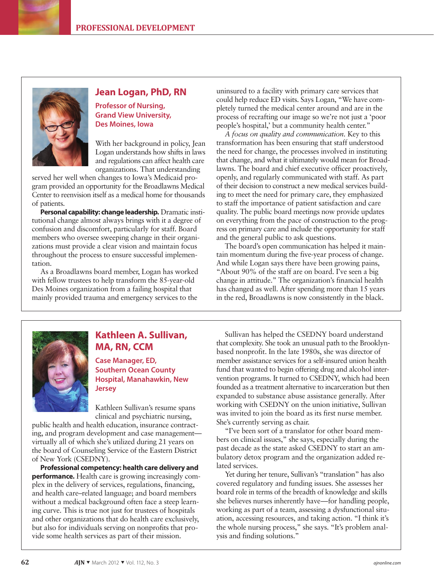

## **Jean Logan, PhD, RN**

**Professor of Nursing, Grand View University, Des Moines, Iowa**

With her background in policy, Jean Logan understands how shifts in laws and regulations can affect health care organizations. That understanding

served her well when changes to Iowa's Medicaid program provided an opportunity for the Broadlawns Medical Center to reenvision itself as a medical home for thousands of patients.

**Personal capability: change leadership.** Dramatic institutional change almost always brings with it a degree of confusion and discomfort, particularly for staff. Board members who oversee sweeping change in their organizations must provide a clear vision and maintain focus throughout the process to ensure successful implementation.

As a Broadlawns board member, Logan has worked with fellow trustees to help transform the 85-year-old Des Moines organization from a failing hospital that mainly provided trauma and emergency services to the

uninsured to a facility with primary care services that could help reduce ED visits. Says Logan, "We have completely turned the medical center around and are in the process of recrafting our image so we're not just a 'poor people's hospital,' but a community health center."

*A focus on quality and communication.* Key to this transformation has been ensuring that staff understood the need for change, the processes involved in instituting that change, and what it ultimately would mean for Broadlawns. The board and chief executive officer proactively, openly, and regularly communicated with staff. As part of their decision to construct a new medical services building to meet the need for primary care, they emphasized to staff the importance of patient satisfaction and care quality. The public board meetings now provide updates on everything from the pace of construction to the progress on primary care and include the opportunity for staff and the general public to ask questions.

The board's open communication has helped it maintain momentum during the five-year process of change. And while Logan says there have been growing pains, "About 90% of the staff are on board. I've seen a big change in attitude." The organization's financial health has changed as well. After spending more than 15 years in the red, Broadlawns is now consistently in the black.



# **Kathleen A. Sullivan, MA, RN, CCM**

**Case Manager, ED, Southern Ocean County Hospital, Manahawkin, New Jersey**

Kathleen Sullivan's resume spans clinical and psychiatric nursing,

public health and health education, insurance contracting, and program development and case management virtually all of which she's utilized during 21 years on the board of Counseling Service of the Eastern District of New York (CSEDNY).

**Professional competency: health care delivery and performance.** Health care is growing increasingly complex in the delivery of services, regulations, financing, and health care–related language; and board members without a medical background often face a steep learning curve. This is true not just for trustees of hospitals and other organizations that do health care exclusively, but also for individuals serving on nonprofits that provide some health services as part of their mission.

Sullivan has helped the CSEDNY board understand that complexity. She took an unusual path to the Brooklynbased nonprofit. In the late 1980s, she was director of member assistance services for a self-insured union health fund that wanted to begin offering drug and alcohol intervention programs. It turned to CSEDNY, which had been founded as a treatment alternative to incarceration but then expanded to substance abuse assistance generally. After working with CSEDNY on the union initiative, Sullivan was invited to join the board as its first nurse member. She's currently serving as chair.

"I've been sort of a translator for other board members on clinical issues," she says, especially during the past decade as the state asked CSEDNY to start an ambulatory detox program and the organization added related services.

Yet during her tenure, Sullivan's "translation" has also covered regulatory and funding issues. She assesses her board role in terms of the breadth of knowledge and skills she believes nurses inherently have—for handling people, working as part of a team, assessing a dysfunctional situation, accessing resources, and taking action. "I think it's the whole nursing process," she says. "It's problem analysis and finding solutions."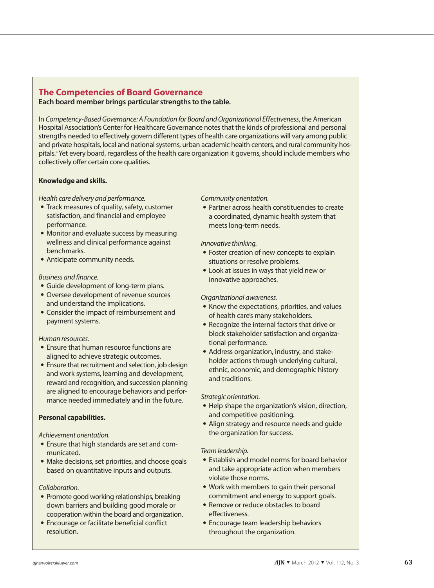## **The Competencies of Board Governance Each board member brings particular strengths to the table.**

In *Competency-Based Governance: A Foundation for Board and Organizational Effectiveness*, the American Hospital Association's Center for Healthcare Governance notes that the kinds of professional and personal strengths needed to effectively govern different types of health care organizations will vary among public and private hospitals, local and national systems, urban academic health centers, and rural community hospitals.<sup>4</sup> Yet every board, regardless of the health care organization it governs, should include members who collectively offer certain core qualities.

#### **Knowledge and skills.**

#### *Health care delivery and performance.*

- Track measures of quality, safety, customer satisfaction, and financial and employee performance.
- Monitor and evaluate success by measuring wellness and clinical performance against benchmarks.
- Anticipate community needs.

## *Business and finance.*

- Guide development of long-term plans.
- Oversee development of revenue sources and understand the implications.
- Consider the impact of reimbursement and payment systems.

#### *Human resources.*

- Ensure that human resource functions are aligned to achieve strategic outcomes.
- Ensure that recruitment and selection, job design and work systems, learning and development, reward and recognition, and succession planning are aligned to encourage behaviors and performance needed immediately and in the future.

## **Personal capabilities.**

#### *Achievement orientation.*

- Ensure that high standards are set and communicated.
- Make decisions, set priorities, and choose goals based on quantitative inputs and outputs.

#### *Collaboration.*

- Promote good working relationships, breaking down barriers and building good morale or cooperation within the board and organization.
- Encourage or facilitate beneficial conflict resolution.

*Community orientation.*

• Partner across health constituencies to create a coordinated, dynamic health system that meets long-term needs.

#### *Innovative thinking.*

- Foster creation of new concepts to explain situations or resolve problems.
- Look at issues in ways that yield new or innovative approaches.

### *Organizational awareness.*

- Know the expectations, priorities, and values of health care's many stakeholders.
- Recognize the internal factors that drive or block stakeholder satisfaction and organizational performance.
- Address organization, industry, and stakeholder actions through underlying cultural, ethnic, economic, and demographic history and traditions.

#### *Strategic orientation.*

- Help shape the organization's vision, direction, and competitive positioning.
- Align strategy and resource needs and guide the organization for success.

#### *Team leadership.*

- Establish and model norms for board behavior and take appropriate action when members violate those norms.
- Work with members to gain their personal commitment and energy to support goals.
- Remove or reduce obstacles to board effectiveness.
- Encourage team leadership behaviors throughout the organization.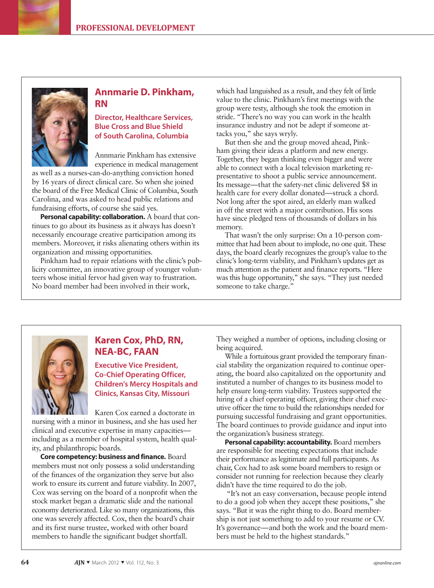

# **Annmarie D. Pinkham, RN**

**Director, Healthcare Services, Blue Cross and Blue Shield of South Carolina, Columbia**

Annmarie Pinkham has extensive experience in medical management

as well as a nurses-can-do-anything conviction honed by 16 years of direct clinical care. So when she joined the board of the Free Medical Clinic of Columbia, South Carolina, and was asked to head public relations and fundraising efforts, of course she said yes.

**Personal capability: collaboration.** A board that continues to go about its business as it always has doesn't necessarily encourage creative participation among its members. Moreover, it risks alienating others within its organization and missing opportunities.

Pinkham had to repair relations with the clinic's publicity committee, an innovative group of younger volunteers whose initial fervor had given way to frustration. No board member had been involved in their work,

which had languished as a result, and they felt of little value to the clinic. Pinkham's first meetings with the group were testy, although she took the emotion in stride. "There's no way you can work in the health insurance industry and not be adept if someone attacks you," she says wryly.

But then she and the group moved ahead, Pinkham giving their ideas a platform and new energy. Together, they began thinking even bigger and were able to connect with a local television marketing representative to shoot a public service announcement. Its message—that the safety-net clinic delivered \$8 in health care for every dollar donated—struck a chord. Not long after the spot aired, an elderly man walked in off the street with a major contribution. His sons have since pledged tens of thousands of dollars in his memory.

That wasn't the only surprise: On a 10-person committee that had been about to implode, no one quit. These days, the board clearly recognizes the group's value to the clinic's long-term viability, and Pinkham's updates get as much attention as the patient and finance reports. "Here was this huge opportunity," she says. "They just needed someone to take charge."



# **Karen Cox, PhD, RN, NEA-BC, FAAN**

**Executive Vice President, Co-Chief Operating Officer, Children's Mercy Hospitals and Clinics, Kansas City, Missouri**

Karen Cox earned a doctorate in nursing with a minor in business, and she has used her clinical and executive expertise in many capacities including as a member of hospital system, health quality, and philanthropic boards.

**Core competency: business and finance.** Board members must not only possess a solid understanding of the finances of the organization they serve but also work to ensure its current and future viability. In 2007, Cox was serving on the board of a nonprofit when the stock market began a dramatic slide and the national economy deteriorated. Like so many organizations, this one was severely affected. Cox, then the board's chair and its first nurse trustee, worked with other board members to handle the significant budget shortfall.

They weighed a number of options, including closing or being acquired.

While a fortuitous grant provided the temporary financial stability the organization required to continue operating, the board also capitalized on the opportunity and instituted a number of changes to its business model to help ensure long-term viability. Trustees supported the hiring of a chief operating officer, giving their chief executive officer the time to build the relationships needed for pursuing successful fundraising and grant opportunities. The board continues to provide guidance and input into the organization's business strategy.

**Personal capability: accountability.** Board members are responsible for meeting expectations that include their performance as legitimate and full participants. As chair, Cox had to ask some board members to resign or consider not running for reelection because they clearly didn't have the time required to do the job.

 "It's not an easy conversation, because people intend to do a good job when they accept these positions," she says. "But it was the right thing to do. Board membership is not just something to add to your resume or CV. It's governance—and both the work and the board members must be held to the highest standards."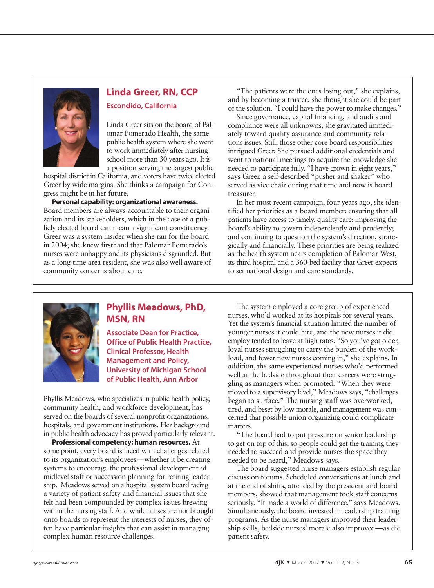

# **Linda Greer, RN, CCP Escondido, California**

Linda Greer sits on the board of Palomar Pomerado Health, the same public health system where she went to work immediately after nursing school more than 30 years ago. It is a position serving the largest public

hospital district in California, and voters have twice elected Greer by wide margins. She thinks a campaign for Congress might be in her future.

**Personal capability: organizational awareness.** Board members are always accountable to their organization and its stakeholders, which in the case of a publicly elected board can mean a significant constituency. Greer was a system insider when she ran for the board in 2004; she knew firsthand that Palomar Pomerado's nurses were unhappy and its physicians disgruntled. But as a long-time area resident, she was also well aware of community concerns about care.

"The patients were the ones losing out," she explains, and by becoming a trustee, she thought she could be part of the solution. "I could have the power to make changes."

Since governance, capital financing, and audits and compliance were all unknowns, she gravitated immediately toward quality assurance and community relations issues. Still, those other core board responsibilities intrigued Greer. She pursued additional credentials and went to national meetings to acquire the knowledge she needed to participate fully. "I have grown in eight years," says Greer, a self-described "pusher and shaker" who served as vice chair during that time and now is board treasurer.

In her most recent campaign, four years ago, she identified her priorities as a board member: ensuring that all patients have access to timely, quality care; improving the board's ability to govern independently and prudently; and continuing to question the system's direction, strategically and financially. These priorities are being realized as the health system nears completion of Palomar West, its third hospital and a 360-bed facility that Greer expects to set national design and care standards.



# **Phyllis Meadows, PhD, MSN, RN**

**Associate Dean for Practice, Office of Public Health Practice, Clinical Professor, Health Management and Policy, University of Michigan School of Public Health, Ann Arbor**

Phyllis Meadows, who specializes in public health policy, community health, and workforce development, has served on the boards of several nonprofit organizations, hospitals, and government institutions. Her background in public health advocacy has proved particularly relevant.

**Professional competency: human resources.** At some point, every board is faced with challenges related to its organization's employees—whether it be creating systems to encourage the professional development of midlevel staff or succession planning for retiring leadership. Meadows served on a hospital system board facing a variety of patient safety and financial issues that she felt had been compounded by complex issues brewing within the nursing staff. And while nurses are not brought onto boards to represent the interests of nurses, they often have particular insights that can assist in managing complex human resource challenges.

The system employed a core group of experienced nurses, who'd worked at its hospitals for several years. Yet the system's financial situation limited the number of younger nurses it could hire, and the new nurses it did employ tended to leave at high rates. "So you've got older, loyal nurses struggling to carry the burden of the workload, and fewer new nurses coming in," she explains. In addition, the same experienced nurses who'd performed well at the bedside throughout their careers were struggling as managers when promoted. "When they were moved to a supervisory level," Meadows says, "challenges began to surface." The nursing staff was overworked, tired, and beset by low morale, and management was concerned that possible union organizing could complicate matters.

"The board had to put pressure on senior leadership to get on top of this, so people could get the training they needed to succeed and provide nurses the space they needed to be heard," Meadows says.

The board suggested nurse managers establish regular discussion forums. Scheduled conversations at lunch and at the end of shifts, attended by the president and board members, showed that management took staff concerns seriously. "It made a world of difference," says Meadows. Simultaneously, the board invested in leadership training programs. As the nurse managers improved their leadership skills, bedside nurses' morale also improved—as did patient safety.